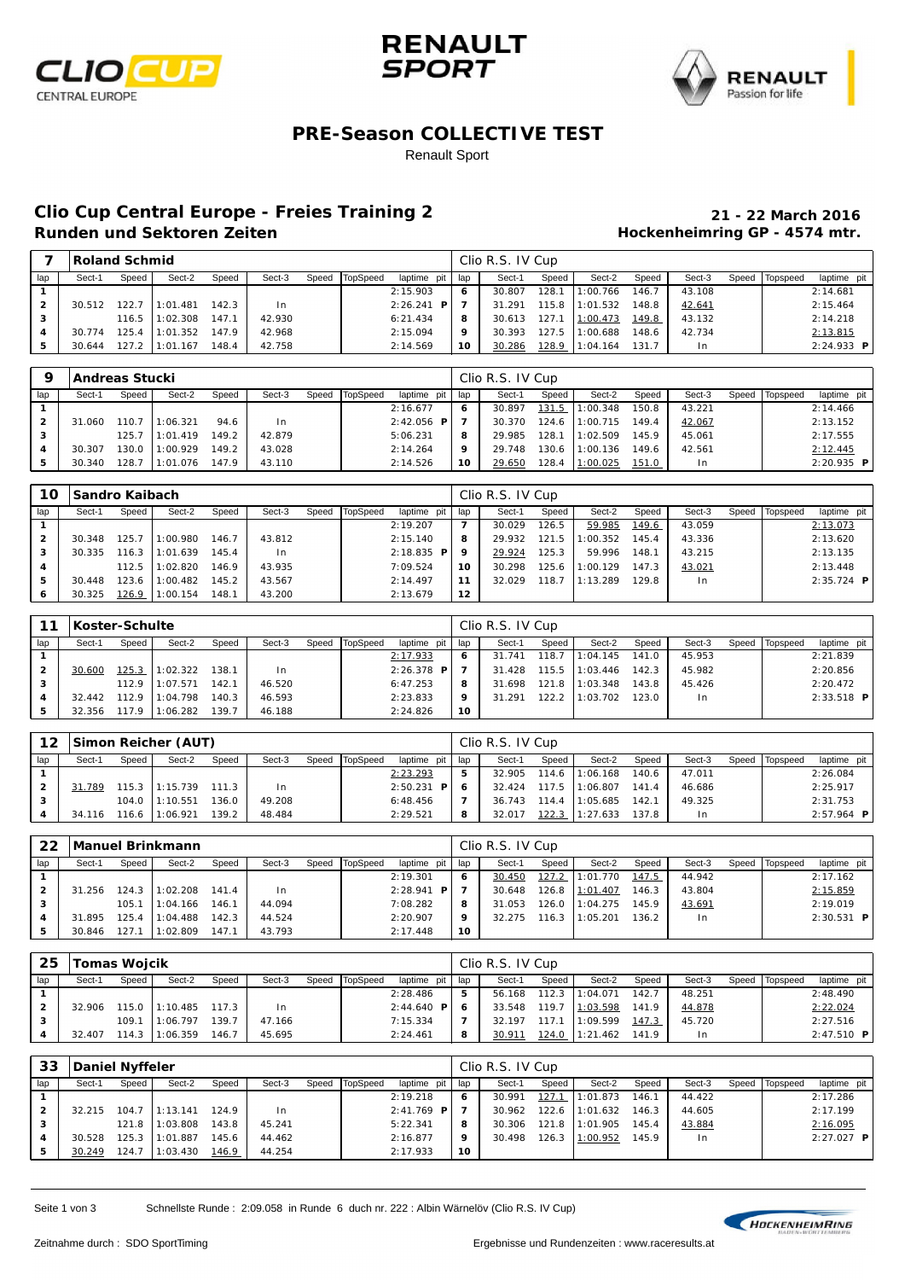





#### **PRE-Season COLLECTIVE TEST**

Renault Sport

# **Clio Cup Central Europe - Freies Training 2 21 - 22 March 2016**

### **Hockenheimring GP - 4574 mtr.**

|     | Roland Schmid |       |          |       |        |       |                 |                |     | Clio R.S. IV Cup |         |          |       |        |       |          |                   |
|-----|---------------|-------|----------|-------|--------|-------|-----------------|----------------|-----|------------------|---------|----------|-------|--------|-------|----------|-------------------|
| lap | Sect-1        | Speed | Sect-2   | Speed | Sect-3 | Speed | <b>TopSpeed</b> | laptime pit    | lap | Sect-1           | Speed   | Sect-2   | Speed | Sect-3 | Speed | Topspeed | laptime pit       |
|     |               |       |          |       |        |       |                 | 2:15.903       | 6   | 30.807           | 128.1   | 1:00.766 | 146.7 | 43.108 |       |          | 2:14.681          |
|     | 30.512        | 122.7 | 1:01.481 | 142.3 | In.    |       |                 | 2:26.241<br>P. |     | 31.291           | $115.8$ | 1:01.532 | 148.8 | 42.641 |       |          | 2:15.464          |
|     |               | 116.5 | 1:02.308 | 147.1 | 42.930 |       |                 | 6: 21.434      | 8   | 30.613           | 127.1   | 1:00.473 | 149.8 | 43.132 |       |          | 2:14.218          |
| 4   | 30.774        | 25.4  | 1:01.352 | 147.9 | 42.968 |       |                 | 2:15.094       | 9   | 30.393           | 127.5   | 1:00.688 | 148.6 | 42.734 |       |          | 2:13.815          |
|     | 30.644        | 127.2 | 1:01.167 | 148.4 | 42.758 |       |                 | 2:14.569       | 10  | 30.286           | 128.9   | 1:04.164 | 131.7 | l n    |       |          | 2:24.933 <b>P</b> |

| a   |        | Andreas Stucki |          |       |        |       |          |                   |     | Clio R.S. IV Cup |       |          |       |        |       |          |               |
|-----|--------|----------------|----------|-------|--------|-------|----------|-------------------|-----|------------------|-------|----------|-------|--------|-------|----------|---------------|
| lap | Sect-1 | Speed          | Sect-2   | Speed | Sect-3 | Speed | TopSpeed | laptime pit       | lap | Sect-1           | Speed | Sect-2   | Speed | Sect-3 | Speed | Topspeed | laptime pit   |
|     |        |                |          |       |        |       |          | 2:16.677          | 6   | 30.897           | 131.5 | 1:00.348 | 150.8 | 43.221 |       |          | 2:14.466      |
|     | 31.060 | 110.7          | 1:06.321 | 94.6  | In.    |       |          | 2:42.056 <b>P</b> |     | 30.370           | 124.6 | 1:00.715 | 149.4 | 42.067 |       |          | 2:13.152      |
| 3   |        | 125.7          | 1:01.419 | 149.2 | 42.879 |       |          | 5:06.231          | 8   | 29.985           | 128.1 | 1:02.509 | 145.9 | 45.061 |       |          | 2:17.555      |
|     | 30.307 | 130.0          | 1:00.929 | 149.2 | 43.028 |       |          | 2:14.264          | 9   | 29.748           | 130.6 | 1:00.136 | 149.6 | 42.561 |       |          | 2:12.445      |
| 5   | 30.340 | 128.7          | 1:01.076 | 147.9 | 43.110 |       |          | 2:14.526          | 10  | 29.650           | 128.4 | 1:00.025 | 151.0 | 1n     |       |          | $2: 20.935$ P |

| 10.       | l Sandro Kaibach |       |          |       |        |       |          |              |     | Clio R.S. IV Cup |       |          |       |                |       |          |                     |
|-----------|------------------|-------|----------|-------|--------|-------|----------|--------------|-----|------------------|-------|----------|-------|----------------|-------|----------|---------------------|
| lap       | Sect-1           | Speed | Sect-2   | Speed | Sect-3 | Speed | TopSpeed | laptime pit  | lap | Sect-1           | Speed | Sect-2   | Speed | Sect-3         | Speed | Topspeed | laptime pit         |
|           |                  |       |          |       |        |       |          | 2:19.207     |     | 30.029           | 126.5 | 59.985   | 149.6 | 43.059         |       |          | 2:13.073            |
|           | 30.348           | 25.7  | 1:00.980 | 146.7 | 43.812 |       |          | 2:15.140     | 8   | 29.932           | 121.5 | : 00.352 | 145.4 | 43.336         |       |          | 2:13.620            |
| 3         | 30.335           | 116.3 | 1:01.639 | 145.4 | In.    |       |          | $2:18.835$ P | ۰   | 29.924           | 125.3 | 59.996   | 148.1 | 43.215         |       |          | 2:13.135            |
|           |                  | 112.5 | 1:02.820 | 146.9 | 43.935 |       |          | 7:09.524     | 10  | 30.298           | 125.6 | 1:00.129 | 147.3 | 43.021         |       |          | 2:13.448            |
| 5         | 30.448           | 123.6 | 1:00.482 | 145.2 | 43.567 |       |          | 2:14.497     | 11  | 32.029           | 118.7 | 1:13.289 | 129.8 | 1 <sub>n</sub> |       |          | $2:35.724$ <b>P</b> |
| $\bullet$ | 30.325           | 126.9 | 1:00.154 | 148.1 | 43.200 |       |          | 2:13.679     | 12  |                  |       |          |       |                |       |          |                     |

|     | Koster-Schulte |       |          |       |        |       |          |                     |     | Clio R.S. IV Cup |       |          |       |        |       |          |               |
|-----|----------------|-------|----------|-------|--------|-------|----------|---------------------|-----|------------------|-------|----------|-------|--------|-------|----------|---------------|
| lap | Sect-1         | Speed | Sect-2   | Speed | Sect-3 | Speed | TopSpeed | laptime pit         | lap | Sect-1           | Speed | Sect-2   | Speed | Sect-3 | Speed | Topspeed | laptime pit   |
|     |                |       |          |       |        |       |          | 2:17.933            | 6   | 31.741           | 118.7 | 1:04.145 | 141.0 | 45.953 |       |          | 2:21.839      |
| 2   | 30.600         | 125.3 | 1:02.322 | 138.1 | In.    |       |          | $2:26.378$ <b>P</b> |     | 31.428           | 115.5 | 1:03.446 | 142.3 | 45.982 |       |          | 2:20.856      |
| 3   |                | 112.9 | 1:07.571 | 142.7 | 46.520 |       |          | 6: 47.253           | 8   | 31.698           | 121.8 | 1:03.348 | 143.8 | 45.426 |       |          | 2:20.472      |
| 4   | 32.442         | 112.9 | 1:04.798 | 140.3 | 46.593 |       |          | 2: 23.833           | 9   | 31.291           | 122.2 | 1:03.702 | 123.0 | In.    |       |          | $2: 33.518$ P |
| 5   | 32.356         | 117.9 | 1:06.282 | 139.7 | 46.188 |       |          | 2:24.826            | 10  |                  |       |          |       |        |       |          |               |

|     |        |       | 12   Simon Reicher (AUT) |       |        |       |          |                      |     | Clio R.S. IV Cup |         |          |       |                |       |          |              |
|-----|--------|-------|--------------------------|-------|--------|-------|----------|----------------------|-----|------------------|---------|----------|-------|----------------|-------|----------|--------------|
| lap | Sect-1 | Speed | Sect-2                   | Speed | Sect-3 | Speed | TopSpeed | laptime pit          | lap | Sect-1           | Speed   | Sect-2   | Speed | Sect-3         | Speed | Topspeed | laptime pit  |
|     |        |       |                          |       |        |       |          | 2:23.293             | 5   | 32.905           | 114.6   | 1:06.168 | 140.6 | 47.011         |       |          | 2:26.084     |
|     | 31.789 |       | 115.3 11:15.739          | 111.3 | In.    |       |          | 2:50.231<br><b>P</b> | -6  | 32.424           | $117.5$ | 1:06.807 | 141.4 | 46.686         |       |          | 2:25.917     |
| з   |        | 104.0 | 1:10.551                 | 36.0  | 49.208 |       |          | 6:48.456             |     | 36.743           | 114.4   | 1:05.685 | 142.1 | 49.325         |       |          | 2:31.753     |
|     | 34.116 |       | 116.6 11:06.921          | 39.2  | 48.484 |       |          | 2: 29.521            | 8   | 32.017           | 122.3   | 1:27.633 | 137.8 | 1 <sub>n</sub> |       |          | $2:57.964$ P |

| 22  |        |       | Manuel Brinkmann |       |        |       |          |               |     | Clio R.S. IV Cup |       |                 |       |        |       |          |              |  |
|-----|--------|-------|------------------|-------|--------|-------|----------|---------------|-----|------------------|-------|-----------------|-------|--------|-------|----------|--------------|--|
| lap | Sect-1 | Speed | Sect-2           | Speed | Sect-3 | Speed | TopSpeed | laptime pit   | lap | Sect-1           | Speed | Sect-2          | Speed | Sect-3 | Speed | Topspeed | laptime pit  |  |
|     |        |       |                  |       |        |       |          | 2:19.301      | 6   | 30.450           | 127.2 | 1:01.770        | 147.5 | 44.942 |       |          | 2:17.162     |  |
|     | 31.256 | 124.3 | 1:02.208         | 141.4 | In.    |       |          | 2:28.941<br>P |     | 30.648           |       | 126.8 1:01.407  | 146.3 | 43.804 |       |          | 2:15.859     |  |
|     |        | 105.1 | 1:04.166         | 146.7 | 44.094 |       |          | 7:08.282      | 8   | 31.053           |       | 126.0 11:04.275 | 145.9 | 43.691 |       |          | 2:19.019     |  |
| 4   | 31.895 | 125.4 | 1:04.488         | 142.3 | 44.524 |       |          | 2:20.907      | 9   | 32.275           | 116.3 | 1:05.201        | 136.2 | l n    |       |          | $2:30.531$ P |  |
|     | 30.846 | 127.  | 1:02.809         | 147.7 | 43.793 |       |          | 2:17.448      | 10  |                  |       |                 |       |        |       |          |              |  |

| -25 | Tomas Wojcik |       |                 |       |        |       |          |                          |     | Clio R.S. IV Cup |       |          |       |        |       |          |              |
|-----|--------------|-------|-----------------|-------|--------|-------|----------|--------------------------|-----|------------------|-------|----------|-------|--------|-------|----------|--------------|
| lap | Sect-1       | Speed | Sect-2          | Speed | Sect-3 | Speed | TopSpeed | laptime pit <sup>1</sup> | lap | Sect-1           | Speed | Sect-2   | Speed | Sect-3 | Speed | Topspeed | laptime pit  |
|     |              |       |                 |       |        |       |          | 2:28.486                 | 5   | 56.168           | 112.3 | 1:04.071 | 142.7 | 48.251 |       |          | 2:48.490     |
| 2   | 32.906       |       | 115.0 11:10.485 | 117.3 | l n    |       |          | 2:44.640 <b>P</b>        | -6  | 33.548           | 119.7 | 1:03.598 | 141.9 | 44.878 |       |          | 2: 22.024    |
| 3   |              | 109.1 | 1:06.797        | 139.7 | 47.166 |       |          | 7:15.334                 | ⇁   | 32.197           | 117.7 | 1:09.599 | 147.3 | 45.720 |       |          | 2:27.516     |
|     | 32.407       | 14.3  | 1:06.359        | 146.7 | 45.695 |       |          | 2: 24.461                | 8   | 30.911           | 124.0 | 1:21.462 | 141.9 |        |       |          | $2:47.510$ P |

| 33           | Daniel Nyffeler |       |          |       |        |       |          |              |     | Clio R.S. IV Cup |       |                |       |        |       |          |              |
|--------------|-----------------|-------|----------|-------|--------|-------|----------|--------------|-----|------------------|-------|----------------|-------|--------|-------|----------|--------------|
| lap          | Sect-1          | Speed | Sect-2   | Speed | Sect-3 | Speed | TopSpeed | laptime pit  | lap | Sect-1           | Speed | Sect-2         | Speed | Sect-3 | Speed | Topspeed | laptime pit  |
|              |                 |       |          |       |        |       |          | 2:19.218     | 6   | 30.991           | 127.1 | 1:01.873       | 146.1 | 44.422 |       |          | 2:17.286     |
| $\mathbf{2}$ | 32.215          | 104.7 | 1:13.141 | 124.9 | l n    |       |          | $2:41.769$ P |     | 30.962           |       | 122.6 1:01.632 | 146.3 | 44.605 |       |          | 2:17.199     |
| з            |                 | 121.8 | 1:03.808 | 143.8 | 45.241 |       |          | 5: 22.341    | 8   | 30.306           |       | 121.8 1:01.905 | 145.4 | 43.884 |       |          | 2:16.095     |
|              | 30.528          | 125.3 | 1:01.887 | 145.6 | 44.462 |       |          | 2:16.877     | Q   | 30.498           |       | 126.3 1:00.952 | 145.9 | I n    |       |          | $2:27.027$ P |
| 5            | 30.249          | 24.7  | 1:03.430 | 146.9 | 44.254 |       |          | 2:17.933     | 10  |                  |       |                |       |        |       |          |              |

Seite 1 von 3 Schnellste Runde : 2:09.058 in Runde 6 duch nr. 222 : Albin Wärnelöv (Clio R.S. IV Cup)

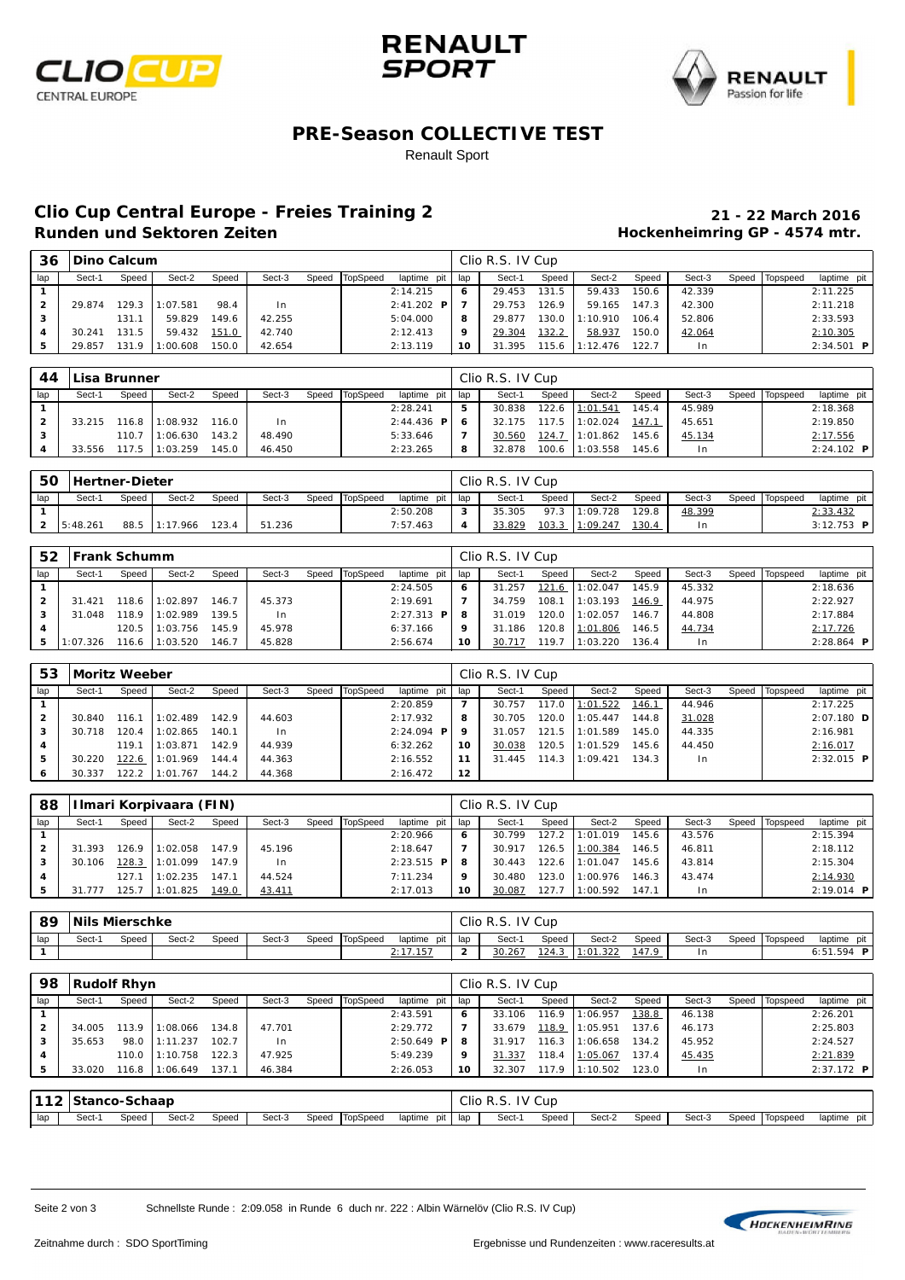





#### **PRE-Season COLLECTIVE TEST**

Renault Sport

# **Clio Cup Central Europe - Freies Training 2 21 - 22 March 2016**

### **Hockenheimring GP - 4574 mtr.**

| 36  | <b>IDino Calcum</b> |       |          |       |        |       |          |                  |     | Clio R.S. IV Cup |         |          |       |                |       |          |                   |
|-----|---------------------|-------|----------|-------|--------|-------|----------|------------------|-----|------------------|---------|----------|-------|----------------|-------|----------|-------------------|
| lap | Sect-1              | Speed | Sect-2   | Speed | Sect-3 | Speed | TopSpeed | laptime pit      | lap | Sect-1           | Speed   | Sect-2   | Speed | Sect-3         | Speed | Topspeed | laptime pit       |
|     |                     |       |          |       |        |       |          | 2:14.215         | 6   | 29.453           | 131.5   | 59.433   | 150.6 | 42.339         |       |          | 2:11.225          |
|     | 29.874              | 129.3 | 1:07.581 | 98.4  | In.    |       |          | 2: 41.202<br>P I |     | 29.753           | 126.9   | 59.165   | 147.3 | 42.300         |       |          | 2:11.218          |
|     |                     | 131.1 | 59.829   | 149.6 | 42.255 |       |          | 5:04.000         | 8   | 29.877           | 130.OI  | 1:10.910 | 106.4 | 52.806         |       |          | 2:33.593          |
| 4   | 30.241              | 131.5 | 59.432   | 151.0 | 42.740 |       |          | 2:12.413         | ۰   | 29.304           | 132.2   | 58.937   | 150.0 | 42.064         |       |          | 2:10.305          |
| 5   | 29.857              | 131.9 | 1:00.608 | 150.0 | 42.654 |       |          | 2:13.119         | 10  | 31.395           | 115.6 I | 1:12.476 | 122.7 | 1 <sub>n</sub> |       |          | 2:34.501 <b>P</b> |

| 44             | Lisa Brunner |       |          |       |        |                |               |     | Clio R.S. IV Cup |       |          |       |        |       |          |              |
|----------------|--------------|-------|----------|-------|--------|----------------|---------------|-----|------------------|-------|----------|-------|--------|-------|----------|--------------|
| lap            | Sect-1       | Speed | Sect-2   | Speed | Sect-3 | Speed TopSpeed | laptime pit   | lap | Sect-1           | Speed | Sect-2   | Speed | Sect-3 | Speed | Topspeed | laptime pit  |
|                |              |       |          |       |        |                | 2:28.241      | 5   | 30.838           | 122.6 | 1:01.541 | 145.4 | 45.989 |       |          | 2:18.368     |
| $\overline{2}$ | 33.215       | 116.8 | 1:08.932 | 116.0 | l n    |                | $2: 44.436$ P | -6  | 32.175           | 117.5 | 1:02.024 | 147.1 | 45.651 |       |          | 2:19.850     |
|                |              | 110.7 | 1:06.630 | 143.2 | 48.490 |                | 5:33.646      | 7   | 30.560           | 124.7 | 1:01.862 | 145.6 | 45.134 |       |          | 2:17.556     |
|                | 33.556       | 117.5 | 1:03.259 | 45.0  | 46.450 |                | 2: 23.265     | 8   | 32.878           | 100.6 | 1:03.558 | 145.6 | In.    |       |          | $2:24.102$ P |

| 50  | <b>Hertner-Dieter</b> |       |          |       |        |                |               |     | Clio R.S. IV Cup |       |                |       |        |                |               |
|-----|-----------------------|-------|----------|-------|--------|----------------|---------------|-----|------------------|-------|----------------|-------|--------|----------------|---------------|
| lap | Sect-1                | Speed | Sect-2   | Speed | Sect-3 | Speed TopSpeed | laptime pit I | lap | Sect-1           | Speed | Sect-2         | Speed | Sect-3 | Speed Topspeed | laptime pit I |
|     |                       |       |          |       |        |                | 2:50.208      | 3   | 35.305           |       | 97.3 1:09.728  | 129.8 | 48.399 |                | 2:33.432      |
|     | $2 \quad 15:48.261$   | 88.5  | 1:17.966 | 123.4 | 51.236 |                | 7:57.463      |     | 33.829           |       | 103.3 1:09.247 | 130.4 | l n    |                | $3:12.753$ P  |

| 52  | <b>IFrank Schumm</b> |       |          |       |        |       |          |                      |     | Clio R.S. IV Cup |       |                 |       |        |       |          |                     |
|-----|----------------------|-------|----------|-------|--------|-------|----------|----------------------|-----|------------------|-------|-----------------|-------|--------|-------|----------|---------------------|
| lap | Sect-1               | Speed | Sect-2   | Speed | Sect-3 | Speed | TopSpeed | laptime pit          | lap | Sect-1           | Speed | Sect-2          | Speed | Sect-3 | Speed | Topspeed | laptime pit         |
|     |                      |       |          |       |        |       |          | 2:24.505             | 6   | 31.257           | 121.6 | 1:02.047        | 145.9 | 45.332 |       |          | 2:18.636            |
| 2   | 31.421               | 18.6  | 1:02.897 | 146.7 | 45.373 |       |          | 2:19.691             | 7   | 34.759           | 108.7 | 1:03.193        | 146.9 | 44.975 |       |          | 2:22.927            |
| 3   | 31.048               | 118.9 | 1:02.989 | 139.5 | In.    |       |          | $2: 27.313$ <b>P</b> | 8   | 31.019           | 120.0 | 1:02.057        | 146.7 | 44.808 |       |          | 2:17.884            |
|     |                      | 120.5 | 1:03.756 | 145.9 | 45.978 |       |          | 6:37.166             | 9   | 31.186           |       | 120.8 11:01.806 | 146.5 | 44.734 |       |          | 2:17.726            |
| 5.  | 1:07.326             | 16.6  | 1:03.520 | 146.7 | 45.828 |       |          | 2:56.674             | 10  | 30.717           | 119.7 | 1:03.220        | 136.4 | $\ln$  |       |          | 2:28.864 $\text{P}$ |

| 53  | Moritz Weeber |       |          |       |        |       |          |              |     | Clio R.S. IV Cup |       |                 |              |                |       |          |                     |
|-----|---------------|-------|----------|-------|--------|-------|----------|--------------|-----|------------------|-------|-----------------|--------------|----------------|-------|----------|---------------------|
| lap | Sect-1        | Speed | Sect-2   | Speed | Sect-3 | Speed | TopSpeed | laptime pit  | lap | Sect-1           | Speed | Sect-2          | Speed        | Sect-3         | Speed | Topspeed | laptime pit         |
|     |               |       |          |       |        |       |          | 2:20.859     | 7   | 30.757           | 117.0 | 1:01.522        | <u>146.1</u> | 44.946         |       |          | 2:17.225            |
| 2   | 30.840        | 116.1 | 1:02.489 | 142.9 | 44.603 |       |          | 2:17.932     | 8   | 30.705           | 120.0 | 1:05.447        | 144.8        | 31.028         |       |          | $2:07.180$ D        |
| з   | 30.718        | 120.4 | 1:02.865 | 140.1 | In.    |       |          | $2:24.094$ P | o   | 31.057           |       | 121.5 11:01.589 | 145.0        | 44.335         |       |          | 2:16.981            |
| 4   |               | 119.1 | 1:03.871 | 142.9 | 44.939 |       |          | 6:32.262     | 10  | 30.038           | 120.5 | 1:01.529        | 145.6        | 44.450         |       |          | 2:16.017            |
| 5   | 30.220        | 122.6 | 1:01.969 | 144.4 | 44.363 |       |          | 2:16.552     | 11  | 31.445           | 114.3 | 1:09.421        | 34.3         | 1 <sub>n</sub> |       |          | $2:32.015$ <b>P</b> |
| ь   | 30.337        | 122.2 | 1:01.767 | 144.2 | 44.368 |       |          | 2:16.472     | 12  |                  |       |                 |              |                |       |          |                     |

| 88  |        |       | Ilmari Korpivaara (FIN) |       |        |       |          |               |     | Clio R.S. IV Cup |       |          |       |        |       |          |              |
|-----|--------|-------|-------------------------|-------|--------|-------|----------|---------------|-----|------------------|-------|----------|-------|--------|-------|----------|--------------|
| lap | Sect-1 | Speed | Sect-2                  | Speed | Sect-3 | Speed | TopSpeed | laptime pit   | lap | Sect-1           | Speed | Sect-2   | Speed | Sect-3 | Speed | Topspeed | laptime pit  |
|     |        |       |                         |       |        |       |          | 2:20.966      | 6   | 30.799           | 127.2 | 1:01.019 | 145.6 | 43.576 |       |          | 2:15.394     |
| 2   | 31.393 | 126.9 | 1:02.058                | 147.9 | 45.196 |       |          | 2:18.647      | 7   | 30.917           | 26.5  | 1:00.384 | 146.5 | 46.811 |       |          | 2:18.112     |
| 3   | 30.106 | 128.3 | 1:01.099                | 147.9 | $\ln$  |       |          | $2: 23.515$ P | 8   | 30.443           | 122.6 | 1:01.047 | 145.6 | 43.814 |       |          | 2:15.304     |
|     |        | 127.  | : 02.235                | 147.1 | 44.524 |       |          | 7:11.234      | 9   | 30.480           | 123.0 | 1:00.976 | 146.3 | 43.474 |       |          | 2:14.930     |
| 5   | 31.777 | 25.7  | 1:01.825                | 149.0 | 43.411 |       |          | 2:17.013      | 10  | 30.087           | 127.  | 1:00.592 | 147.1 | I n    |       |          | $2:19.014$ P |

| 89  |       | Nils Mierschke |        |       |        |       |          |             |             | Clio R.S. | IV Cup |          |       |        |       |          |               |
|-----|-------|----------------|--------|-------|--------|-------|----------|-------------|-------------|-----------|--------|----------|-------|--------|-------|----------|---------------|
| lap | Sect- | Speed          | Sect-2 | Speed | Sect-3 | Speed | TopSpeed | laptime pit | lap         | Sect-     | Speed  | Sect-2   | Speed | Sect-3 | Speed | Topspeed | laptime pit   |
|     |       |                |        |       |        |       |          | 2:17.157    | $\sim$<br>- | 30.267    | 124.3  | 1:01.322 | 147.9 |        |       |          | 6:51.594<br>P |

| 98             | Rudolf Rhyn                                                       |       |                 |       |        |       |          |             | Clio R.S. IV Cup |                  |       |                  |       |        |       |          |                     |  |  |
|----------------|-------------------------------------------------------------------|-------|-----------------|-------|--------|-------|----------|-------------|------------------|------------------|-------|------------------|-------|--------|-------|----------|---------------------|--|--|
| lap            | Sect-1                                                            | Speed | Sect-2          | Speed | Sect-3 | Speed | TopSpeed | laptime pit | lap              | Sect-1           | Speed | Sect-2           | Speed | Sect-3 | Speed | Topspeed | laptime pit         |  |  |
|                |                                                                   |       |                 |       |        |       |          | 2: 43.591   | 6                | 33.106           | 116.9 | 1:06.957         | 138.8 | 46.138 |       |          | 2:26.201            |  |  |
| $\overline{2}$ | 2:29.772<br>113.9<br>134.8<br>34.005<br>47.701<br>1:08.066        |       |                 |       |        |       |          |             |                  | 33.679           | 118.9 | 1:05.951         | 137.6 | 46.173 |       |          | 2:25.803            |  |  |
| 3              | $2:50.649$ <b>P</b><br>98.0<br>1:11.237<br>102.7<br>35.653<br>In. |       |                 |       |        |       |          |             | 8                | 31.917           |       | $116.3$ 1:06.658 | 134.2 | 45.952 |       |          | 2: 24.527           |  |  |
| 4              |                                                                   | 110.0 | 1:10.758<br>. 1 | 122.3 | 47.925 |       |          | 5:49.239    | 9                | 31.337           | 118.4 | 1:05.067         | 137.4 | 45.435 |       |          | 2:21.839            |  |  |
| 5              | 33.020                                                            | 116.8 | 1:06.649        | 137.1 | 46.384 |       |          | 2:26.053    | 10               | 32.307           |       | 117.9 11:10.502  | 123.0 | In     |       |          | $2:37.172$ <b>P</b> |  |  |
|                |                                                                   |       |                 |       |        |       |          |             |                  |                  |       |                  |       |        |       |          |                     |  |  |
|                | 112 Stanco-Schaap                                                 |       |                 |       |        |       |          |             |                  | Clio R.S. IV Cup |       |                  |       |        |       |          |                     |  |  |

lap Sect-1 Speed Sect-2 Speed Sect-3 Speed TopSpeed laptime pit lap Sect-1 Speed Sect-2 Speed Sect-3 Speed Topspeed laptime pit

Seite 2 von 3 Schnellste Runde : 2:09.058 in Runde 6 duch nr. 222 : Albin Wärnelöv (Clio R.S. IV Cup)